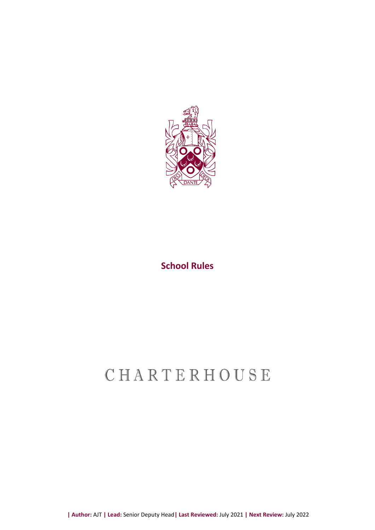

### **School Rules**

# CHARTERHOUSE

**| Author:** AJT **| Lead:** Senior Deputy Head**| Last Reviewed:** July 2021 **| Next Review:** July 2022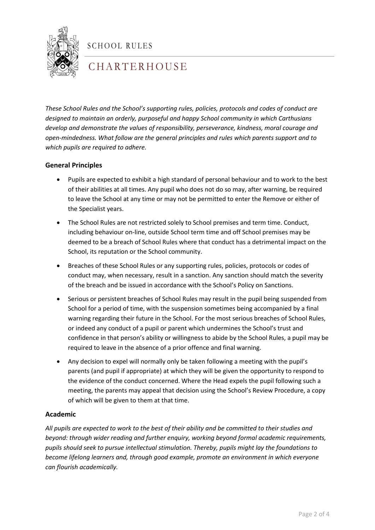

SCHOOL RULES

## C H A R T E R H O U S E

*These School Rules and the School's supporting rules, policies, protocols and codes of conduct are designed to maintain an orderly, purposeful and happy School community in which Carthusians develop and demonstrate the values of responsibility, perseverance, kindness, moral courage and open-mindedness. What follow are the general principles and rules which parents support and to which pupils are required to adhere.*

### **General Principles**

- Pupils are expected to exhibit a high standard of personal behaviour and to work to the best of their abilities at all times. Any pupil who does not do so may, after warning, be required to leave the School at any time or may not be permitted to enter the Remove or either of the Specialist years.
- The School Rules are not restricted solely to School premises and term time. Conduct, including behaviour on-line, outside School term time and off School premises may be deemed to be a breach of School Rules where that conduct has a detrimental impact on the School, its reputation or the School community.
- Breaches of these School Rules or any supporting rules, policies, protocols or codes of conduct may, when necessary, result in a sanction. Any sanction should match the severity of the breach and be issued in accordance with the School's Policy on Sanctions.
- Serious or persistent breaches of School Rules may result in the pupil being suspended from School for a period of time, with the suspension sometimes being accompanied by a final warning regarding their future in the School. For the most serious breaches of School Rules, or indeed any conduct of a pupil or parent which undermines the School's trust and confidence in that person's ability or willingness to abide by the School Rules, a pupil may be required to leave in the absence of a prior offence and final warning.
- Any decision to expel will normally only be taken following a meeting with the pupil's parents (and pupil if appropriate) at which they will be given the opportunity to respond to the evidence of the conduct concerned. Where the Head expels the pupil following such a meeting, the parents may appeal that decision using the School's Review Procedure, a copy of which will be given to them at that time.

### **Academic**

*All pupils are expected to work to the best of their ability and be committed to their studies and beyond: through wider reading and further enquiry, working beyond formal academic requirements, pupils should seek to pursue intellectual stimulation. Thereby, pupils might lay the foundations to become lifelong learners and, through good example, promote an environment in which everyone can flourish academically.*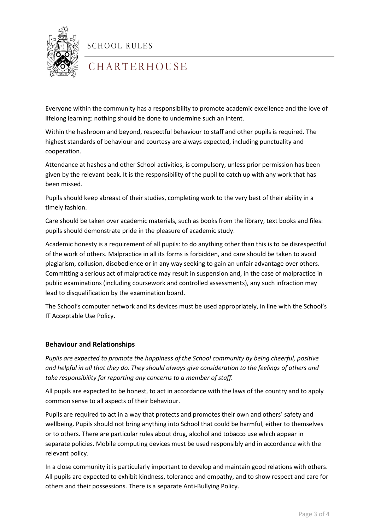

SCHOOL RULES

## C H A R T E R H O U S E

Everyone within the community has a responsibility to promote academic excellence and the love of lifelong learning: nothing should be done to undermine such an intent.

Within the hashroom and beyond, respectful behaviour to staff and other pupils is required. The highest standards of behaviour and courtesy are always expected, including punctuality and cooperation.

Attendance at hashes and other School activities, is compulsory, unless prior permission has been given by the relevant beak. It is the responsibility of the pupil to catch up with any work that has been missed.

Pupils should keep abreast of their studies, completing work to the very best of their ability in a timely fashion.

Care should be taken over academic materials, such as books from the library, text books and files: pupils should demonstrate pride in the pleasure of academic study.

Academic honesty is a requirement of all pupils: to do anything other than this is to be disrespectful of the work of others. Malpractice in all its forms is forbidden, and care should be taken to avoid plagiarism, collusion, disobedience or in any way seeking to gain an unfair advantage over others. Committing a serious act of malpractice may result in suspension and, in the case of malpractice in public examinations (including coursework and controlled assessments), any such infraction may lead to disqualification by the examination board.

The School's computer network and its devices must be used appropriately, in line with the School's IT Acceptable Use Policy.

### **Behaviour and Relationships**

*Pupils are expected to promote the happiness of the School community by being cheerful, positive and helpful in all that they do. They should always give consideration to the feelings of others and take responsibility for reporting any concerns to a member of staff.*

All pupils are expected to be honest, to act in accordance with the laws of the country and to apply common sense to all aspects of their behaviour.

Pupils are required to act in a way that protects and promotes their own and others' safety and wellbeing. Pupils should not bring anything into School that could be harmful, either to themselves or to others. There are particular rules about drug, alcohol and tobacco use which appear in separate policies. Mobile computing devices must be used responsibly and in accordance with the relevant policy.

In a close community it is particularly important to develop and maintain good relations with others. All pupils are expected to exhibit kindness, tolerance and empathy, and to show respect and care for others and their possessions. There is a separate Anti-Bullying Policy.